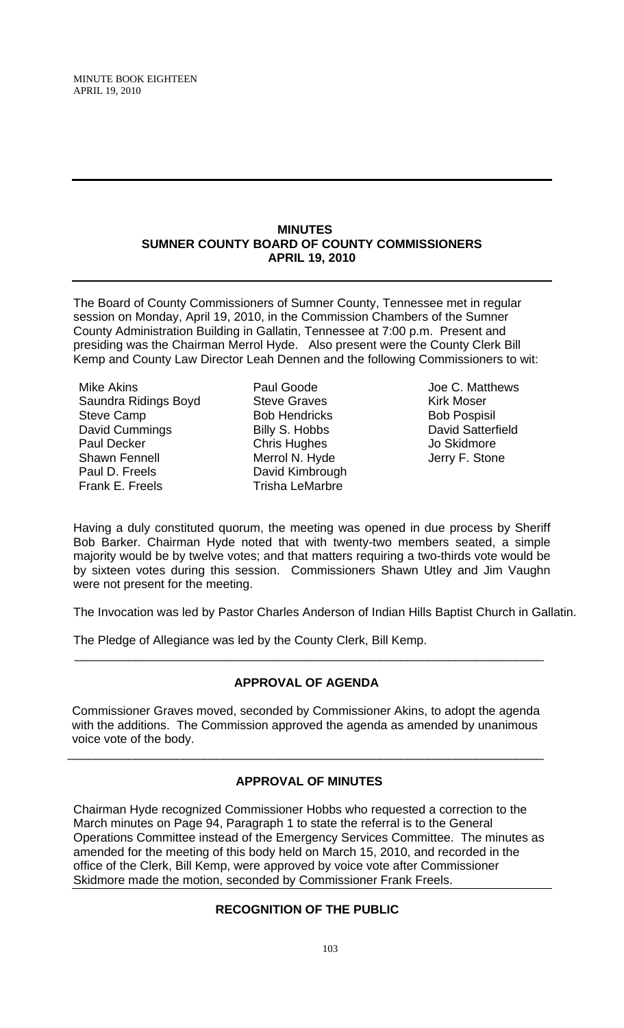MINUTE BOOK EIGHTEEN APRIL 19, 2010

#### **MINUTES SUMNER COUNTY BOARD OF COUNTY COMMISSIONERS APRIL 19, 2010**

The Board of County Commissioners of Sumner County, Tennessee met in regular session on Monday, April 19, 2010, in the Commission Chambers of the Sumner County Administration Building in Gallatin, Tennessee at 7:00 p.m. Present and presiding was the Chairman Merrol Hyde. Also present were the County Clerk Bill Kemp and County Law Director Leah Dennen and the following Commissioners to wit:

Mike Akins Saundra Ridings Boyd Steve Camp David Cummings Paul Decker Shawn Fennell Paul D. Freels Frank E. Freels

Paul Goode Steve Graves Bob Hendricks Billy S. Hobbs Chris Hughes Merrol N. Hyde David Kimbrough Trisha LeMarbre

Joe C. Matthews Kirk Moser Bob Pospisil David Satterfield Jo Skidmore Jerry F. Stone

Having a duly constituted quorum, the meeting was opened in due process by Sheriff Bob Barker. Chairman Hyde noted that with twenty-two members seated, a simple majority would be by twelve votes; and that matters requiring a two-thirds vote would be by sixteen votes during this session. Commissioners Shawn Utley and Jim Vaughn were not present for the meeting.

The Invocation was led by Pastor Charles Anderson of Indian Hills Baptist Church in Gallatin.

The Pledge of Allegiance was led by the County Clerk, Bill Kemp.

# **APPROVAL OF AGENDA**

 $\overline{\phantom{a}}$  , and the contribution of the contribution of the contribution of the contribution of the contribution of the contribution of the contribution of the contribution of the contribution of the contribution of the

 Commissioner Graves moved, seconded by Commissioner Akins, to adopt the agenda with the additions. The Commission approved the agenda as amended by unanimous voice vote of the body.

\_\_\_\_\_\_\_\_\_\_\_\_\_\_\_\_\_\_\_\_\_\_\_\_\_\_\_\_\_\_\_\_\_\_\_\_\_\_\_\_\_\_\_\_\_\_\_\_\_\_\_\_\_\_\_\_\_\_\_\_\_\_\_\_\_\_\_\_\_\_

# **APPROVAL OF MINUTES**

Chairman Hyde recognized Commissioner Hobbs who requested a correction to the March minutes on Page 94, Paragraph 1 to state the referral is to the General Operations Committee instead of the Emergency Services Committee. The minutes as amended for the meeting of this body held on March 15, 2010, and recorded in the office of the Clerk, Bill Kemp, were approved by voice vote after Commissioner Skidmore made the motion, seconded by Commissioner Frank Freels.

# **RECOGNITION OF THE PUBLIC**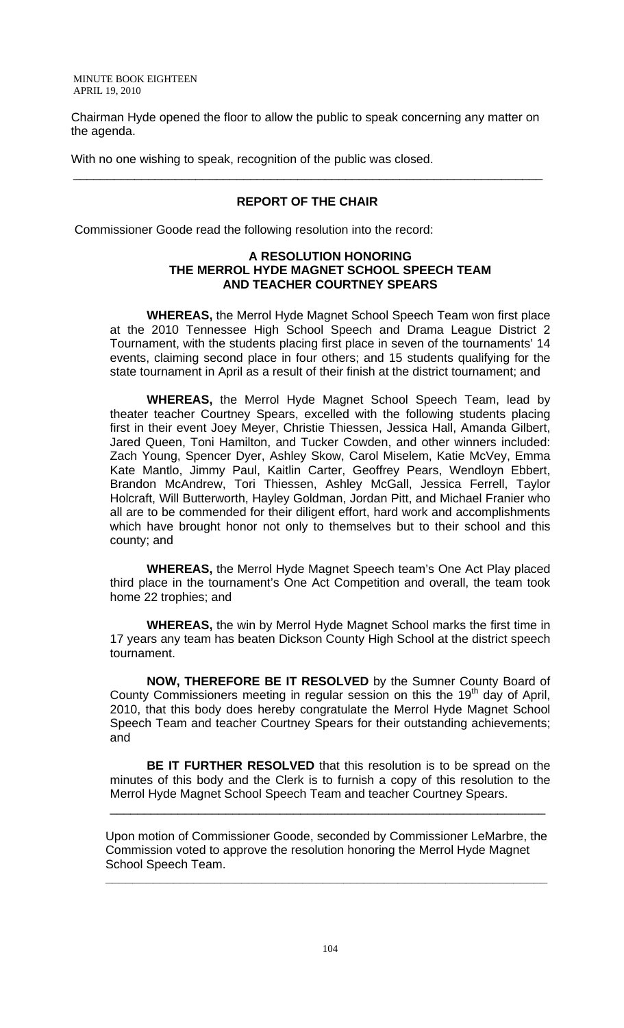Chairman Hyde opened the floor to allow the public to speak concerning any matter on the agenda.

With no one wishing to speak, recognition of the public was closed.

# **REPORT OF THE CHAIR**

\_\_\_\_\_\_\_\_\_\_\_\_\_\_\_\_\_\_\_\_\_\_\_\_\_\_\_\_\_\_\_\_\_\_\_\_\_\_\_\_\_\_\_\_\_\_\_\_\_\_\_\_\_\_\_\_\_\_\_\_\_\_\_\_\_\_\_\_\_

Commissioner Goode read the following resolution into the record:

### **A RESOLUTION HONORING THE MERROL HYDE MAGNET SCHOOL SPEECH TEAM AND TEACHER COURTNEY SPEARS**

 **WHEREAS,** the Merrol Hyde Magnet School Speech Team won first place at the 2010 Tennessee High School Speech and Drama League District 2 Tournament, with the students placing first place in seven of the tournaments' 14 events, claiming second place in four others; and 15 students qualifying for the state tournament in April as a result of their finish at the district tournament; and

**WHEREAS,** the Merrol Hyde Magnet School Speech Team, lead by theater teacher Courtney Spears, excelled with the following students placing first in their event Joey Meyer, Christie Thiessen, Jessica Hall, Amanda Gilbert, Jared Queen, Toni Hamilton, and Tucker Cowden, and other winners included: Zach Young, Spencer Dyer, Ashley Skow, Carol Miselem, Katie McVey, Emma Kate Mantlo, Jimmy Paul, Kaitlin Carter, Geoffrey Pears, Wendloyn Ebbert, Brandon McAndrew, Tori Thiessen, Ashley McGall, Jessica Ferrell, Taylor Holcraft, Will Butterworth, Hayley Goldman, Jordan Pitt, and Michael Franier who all are to be commended for their diligent effort, hard work and accomplishments which have brought honor not only to themselves but to their school and this county; and

**WHEREAS,** the Merrol Hyde Magnet Speech team's One Act Play placed third place in the tournament's One Act Competition and overall, the team took home 22 trophies; and

**WHEREAS,** the win by Merrol Hyde Magnet School marks the first time in 17 years any team has beaten Dickson County High School at the district speech tournament.

**NOW, THEREFORE BE IT RESOLVED** by the Sumner County Board of County Commissioners meeting in regular session on this the  $19<sup>th</sup>$  day of April, 2010, that this body does hereby congratulate the Merrol Hyde Magnet School Speech Team and teacher Courtney Spears for their outstanding achievements; and

**BE IT FURTHER RESOLVED** that this resolution is to be spread on the minutes of this body and the Clerk is to furnish a copy of this resolution to the Merrol Hyde Magnet School Speech Team and teacher Courtney Spears.

\_\_\_\_\_\_\_\_\_\_\_\_\_\_\_\_\_\_\_\_\_\_\_\_\_\_\_\_\_\_\_\_\_\_\_\_\_\_\_\_\_\_\_\_\_\_\_\_\_\_\_\_\_\_\_\_\_\_\_\_\_\_\_\_

Upon motion of Commissioner Goode, seconded by Commissioner LeMarbre, the Commission voted to approve the resolution honoring the Merrol Hyde Magnet School Speech Team.

**\_\_\_\_\_\_\_\_\_\_\_\_\_\_\_\_\_\_\_\_\_\_\_\_\_\_\_\_\_\_\_\_\_\_\_\_\_\_\_\_\_\_\_\_\_\_\_\_\_\_\_\_\_\_\_\_\_\_\_\_\_\_\_\_\_**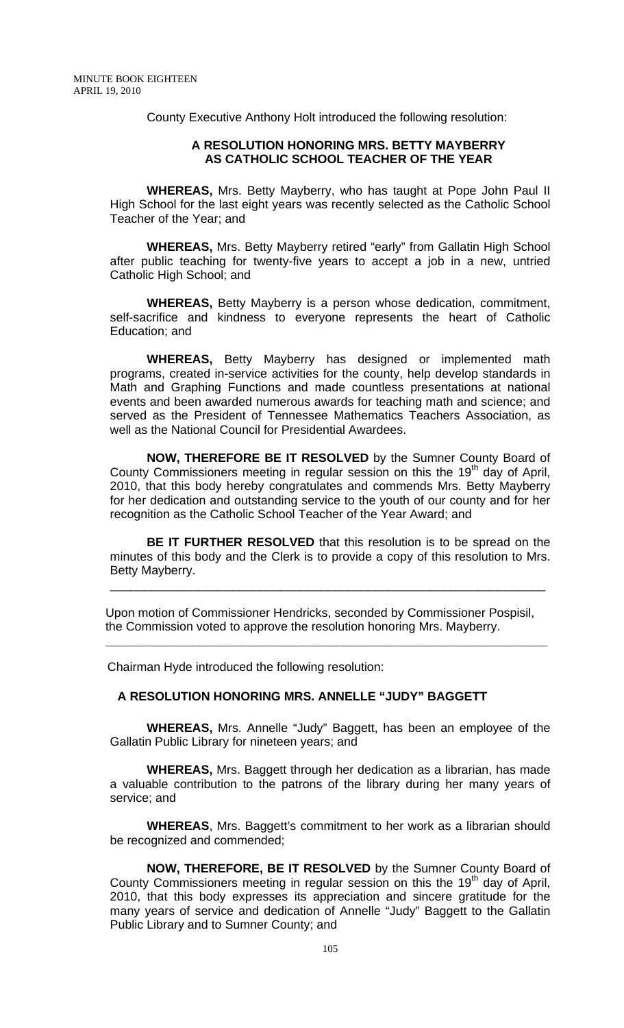County Executive Anthony Holt introduced the following resolution:

### **A RESOLUTION HONORING MRS. BETTY MAYBERRY AS CATHOLIC SCHOOL TEACHER OF THE YEAR**

 **WHEREAS,** Mrs. Betty Mayberry, who has taught at Pope John Paul II High School for the last eight years was recently selected as the Catholic School Teacher of the Year; and

**WHEREAS,** Mrs. Betty Mayberry retired "early" from Gallatin High School after public teaching for twenty-five years to accept a job in a new, untried Catholic High School; and

**WHEREAS,** Betty Mayberry is a person whose dedication, commitment, self-sacrifice and kindness to everyone represents the heart of Catholic Education; and

**WHEREAS,** Betty Mayberry has designed or implemented math programs, created in-service activities for the county, help develop standards in Math and Graphing Functions and made countless presentations at national events and been awarded numerous awards for teaching math and science; and served as the President of Tennessee Mathematics Teachers Association, as well as the National Council for Presidential Awardees.

**NOW, THEREFORE BE IT RESOLVED** by the Sumner County Board of County Commissioners meeting in regular session on this the  $19<sup>th</sup>$  day of April, 2010, that this body hereby congratulates and commends Mrs. Betty Mayberry for her dedication and outstanding service to the youth of our county and for her recognition as the Catholic School Teacher of the Year Award; and

**BE IT FURTHER RESOLVED** that this resolution is to be spread on the minutes of this body and the Clerk is to provide a copy of this resolution to Mrs. Betty Mayberry.

\_\_\_\_\_\_\_\_\_\_\_\_\_\_\_\_\_\_\_\_\_\_\_\_\_\_\_\_\_\_\_\_\_\_\_\_\_\_\_\_\_\_\_\_\_\_\_\_\_\_\_\_\_\_\_\_\_\_\_\_\_\_\_\_

Upon motion of Commissioner Hendricks, seconded by Commissioner Pospisil, the Commission voted to approve the resolution honoring Mrs. Mayberry.

**\_\_\_\_\_\_\_\_\_\_\_\_\_\_\_\_\_\_\_\_\_\_\_\_\_\_\_\_\_\_\_\_\_\_\_\_\_\_\_\_\_\_\_\_\_\_\_\_\_\_\_\_\_\_\_\_\_\_\_\_\_\_\_\_\_** 

Chairman Hyde introduced the following resolution:

### **A RESOLUTION HONORING MRS. ANNELLE "JUDY" BAGGETT**

 **WHEREAS,** Mrs. Annelle "Judy" Baggett, has been an employee of the Gallatin Public Library for nineteen years; and

**WHEREAS,** Mrs. Baggett through her dedication as a librarian, has made a valuable contribution to the patrons of the library during her many years of service; and

**WHEREAS**, Mrs. Baggett's commitment to her work as a librarian should be recognized and commended;

**NOW, THEREFORE, BE IT RESOLVED** by the Sumner County Board of County Commissioners meeting in regular session on this the  $19<sup>th</sup>$  day of April, 2010, that this body expresses its appreciation and sincere gratitude for the many years of service and dedication of Annelle "Judy" Baggett to the Gallatin Public Library and to Sumner County; and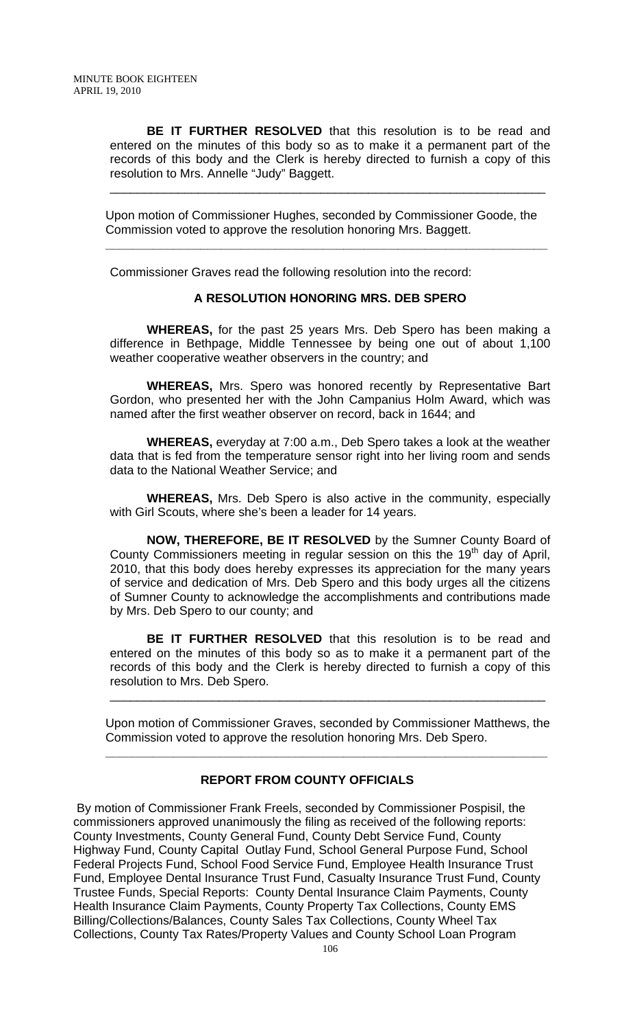**BE IT FURTHER RESOLVED** that this resolution is to be read and entered on the minutes of this body so as to make it a permanent part of the records of this body and the Clerk is hereby directed to furnish a copy of this resolution to Mrs. Annelle "Judy" Baggett.

\_\_\_\_\_\_\_\_\_\_\_\_\_\_\_\_\_\_\_\_\_\_\_\_\_\_\_\_\_\_\_\_\_\_\_\_\_\_\_\_\_\_\_\_\_\_\_\_\_\_\_\_\_\_\_\_\_\_\_\_\_\_\_\_

Upon motion of Commissioner Hughes, seconded by Commissioner Goode, the Commission voted to approve the resolution honoring Mrs. Baggett.

**\_\_\_\_\_\_\_\_\_\_\_\_\_\_\_\_\_\_\_\_\_\_\_\_\_\_\_\_\_\_\_\_\_\_\_\_\_\_\_\_\_\_\_\_\_\_\_\_\_\_\_\_\_\_\_\_\_\_\_\_\_\_\_\_\_** 

Commissioner Graves read the following resolution into the record:

#### **A RESOLUTION HONORING MRS. DEB SPERO**

**WHEREAS,** for the past 25 years Mrs. Deb Spero has been making a difference in Bethpage, Middle Tennessee by being one out of about 1,100 weather cooperative weather observers in the country; and

**WHEREAS,** Mrs. Spero was honored recently by Representative Bart Gordon, who presented her with the John Campanius Holm Award, which was named after the first weather observer on record, back in 1644; and

**WHEREAS,** everyday at 7:00 a.m., Deb Spero takes a look at the weather data that is fed from the temperature sensor right into her living room and sends data to the National Weather Service; and

**WHEREAS,** Mrs. Deb Spero is also active in the community, especially with Girl Scouts, where she's been a leader for 14 years.

**NOW, THEREFORE, BE IT RESOLVED** by the Sumner County Board of County Commissioners meeting in regular session on this the  $19<sup>th</sup>$  day of April, 2010, that this body does hereby expresses its appreciation for the many years of service and dedication of Mrs. Deb Spero and this body urges all the citizens of Sumner County to acknowledge the accomplishments and contributions made by Mrs. Deb Spero to our county; and

**BE IT FURTHER RESOLVED** that this resolution is to be read and entered on the minutes of this body so as to make it a permanent part of the records of this body and the Clerk is hereby directed to furnish a copy of this resolution to Mrs. Deb Spero.

Upon motion of Commissioner Graves, seconded by Commissioner Matthews, the Commission voted to approve the resolution honoring Mrs. Deb Spero.

**\_\_\_\_\_\_\_\_\_\_\_\_\_\_\_\_\_\_\_\_\_\_\_\_\_\_\_\_\_\_\_\_\_\_\_\_\_\_\_\_\_\_\_\_\_\_\_\_\_\_\_\_\_\_\_\_\_\_\_\_\_\_\_\_\_** 

\_\_\_\_\_\_\_\_\_\_\_\_\_\_\_\_\_\_\_\_\_\_\_\_\_\_\_\_\_\_\_\_\_\_\_\_\_\_\_\_\_\_\_\_\_\_\_\_\_\_\_\_\_\_\_\_\_\_\_\_\_\_\_\_

## **REPORT FROM COUNTY OFFICIALS**

 By motion of Commissioner Frank Freels, seconded by Commissioner Pospisil, the commissioners approved unanimously the filing as received of the following reports: County Investments, County General Fund, County Debt Service Fund, County Highway Fund, County Capital Outlay Fund, School General Purpose Fund, School Federal Projects Fund, School Food Service Fund, Employee Health Insurance Trust Fund, Employee Dental Insurance Trust Fund, Casualty Insurance Trust Fund, County Trustee Funds, Special Reports: County Dental Insurance Claim Payments, County Health Insurance Claim Payments, County Property Tax Collections, County EMS Billing/Collections/Balances, County Sales Tax Collections, County Wheel Tax Collections, County Tax Rates/Property Values and County School Loan Program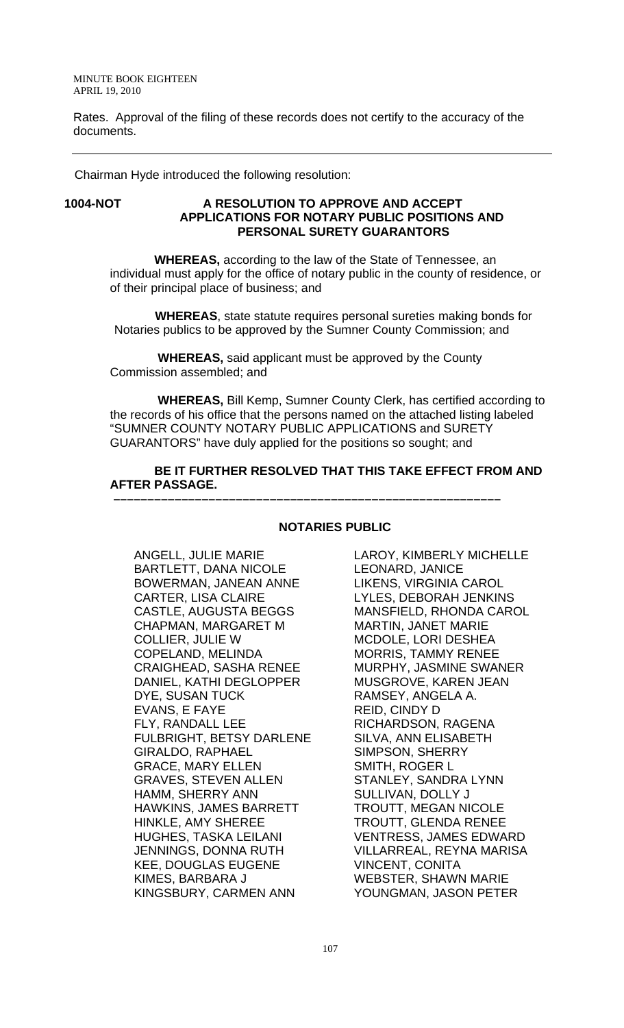Rates. Approval of the filing of these records does not certify to the accuracy of the documents.

Chairman Hyde introduced the following resolution:

### **1004-NOT A RESOLUTION TO APPROVE AND ACCEPT APPLICATIONS FOR NOTARY PUBLIC POSITIONS AND PERSONAL SURETY GUARANTORS**

 **WHEREAS,** according to the law of the State of Tennessee, an individual must apply for the office of notary public in the county of residence, or of their principal place of business; and

 **WHEREAS**, state statute requires personal sureties making bonds for Notaries publics to be approved by the Sumner County Commission; and

 **WHEREAS,** said applicant must be approved by the County Commission assembled; and

 **WHEREAS,** Bill Kemp, Sumner County Clerk, has certified according to the records of his office that the persons named on the attached listing labeled "SUMNER COUNTY NOTARY PUBLIC APPLICATIONS and SURETY GUARANTORS" have duly applied for the positions so sought; and

#### **BE IT FURTHER RESOLVED THAT THIS TAKE EFFECT FROM AND AFTER PASSAGE. –––––––––––––––––––––––––––––––––––––––––––––––––––––––––**

### **NOTARIES PUBLIC**

ANGELL, JULIE MARIE BARTLETT, DANA NICOLE BOWERMAN, JANEAN ANNE CARTER, LISA CLAIRE CASTLE, AUGUSTA BEGGS CHAPMAN, MARGARET M COLLIER, JULIE W COPELAND, MELINDA CRAIGHEAD, SASHA RENEE DANIEL, KATHI DEGLOPPER DYE, SUSAN TUCK EVANS, E FAYE FLY, RANDALL LEE FULBRIGHT, BETSY DARLENE GIRALDO, RAPHAEL GRACE, MARY ELLEN GRAVES, STEVEN ALLEN HAMM, SHERRY ANN HAWKINS, JAMES BARRETT HINKLE, AMY SHEREE HUGHES, TASKA LEILANI JENNINGS, DONNA RUTH KEE, DOUGLAS EUGENE KIMES, BARBARA J KINGSBURY, CARMEN ANN

LAROY, KIMBERLY MICHELLE LEONARD, JANICE LIKENS, VIRGINIA CAROL LYLES, DEBORAH JENKINS MANSFIELD, RHONDA CAROL MARTIN, JANET MARIE MCDOLE, LORI DESHEA MORRIS, TAMMY RENEE MURPHY, JASMINE SWANER MUSGROVE, KAREN JEAN RAMSEY, ANGELA A. REID, CINDY D RICHARDSON, RAGENA SILVA, ANN ELISABETH SIMPSON, SHERRY SMITH, ROGER L STANLEY, SANDRA LYNN SULLIVAN, DOLLY J TROUTT, MEGAN NICOLE TROUTT, GLENDA RENEE VENTRESS, JAMES EDWARD VILLARREAL, REYNA MARISA VINCENT, CONITA WEBSTER, SHAWN MARIE YOUNGMAN, JASON PETER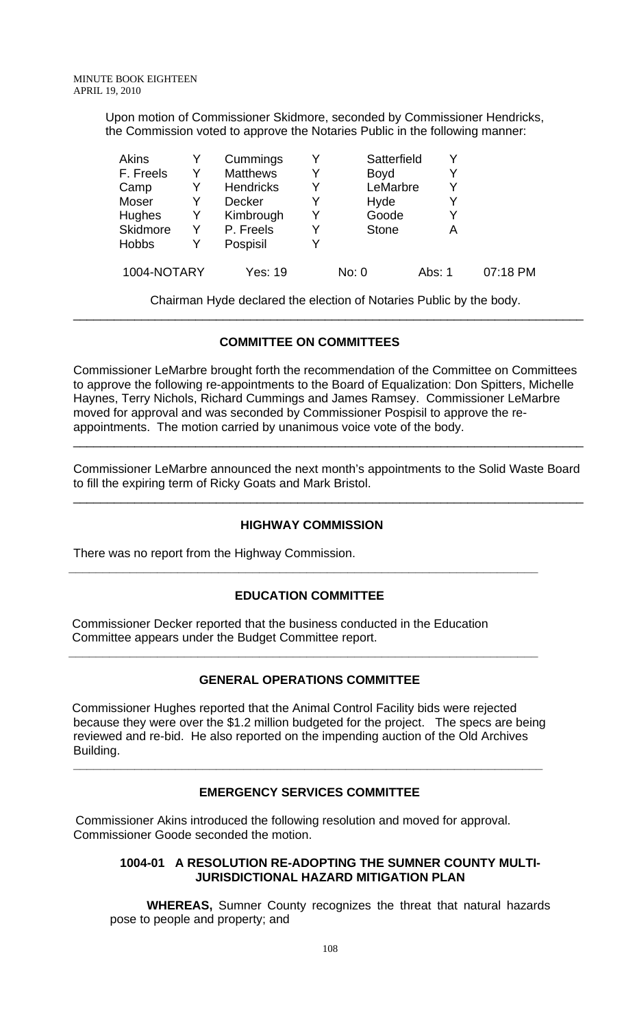Upon motion of Commissioner Skidmore, seconded by Commissioner Hendricks, the Commission voted to approve the Notaries Public in the following manner:

| Akins        |   | Cummings         |   | Satterfield  |        |          |
|--------------|---|------------------|---|--------------|--------|----------|
| F. Freels    |   | <b>Matthews</b>  | Y | <b>Boyd</b>  | Y      |          |
| Camp         |   | <b>Hendricks</b> | Y | LeMarbre     | Y      |          |
| Moser        |   | <b>Decker</b>    | Y | Hyde         | Y      |          |
| Hughes       | Y | Kimbrough        | Y | Goode        | Y      |          |
| Skidmore     | Y | P. Freels        |   | <b>Stone</b> | Α      |          |
| <b>Hobbs</b> |   | Pospisil         |   |              |        |          |
| 1004-NOTARY  |   | Yes: 19          |   | No: 0        | Abs: 1 | 07:18 PM |

 Chairman Hyde declared the election of Notaries Public by the body. \_\_\_\_\_\_\_\_\_\_\_\_\_\_\_\_\_\_\_\_\_\_\_\_\_\_\_\_\_\_\_\_\_\_\_\_\_\_\_\_\_\_\_\_\_\_\_\_\_\_\_\_\_\_\_\_\_\_\_\_\_\_\_\_\_\_\_\_\_\_\_\_\_\_\_

# **COMMITTEE ON COMMITTEES**

Commissioner LeMarbre brought forth the recommendation of the Committee on Committees to approve the following re-appointments to the Board of Equalization: Don Spitters, Michelle Haynes, Terry Nichols, Richard Cummings and James Ramsey. Commissioner LeMarbre moved for approval and was seconded by Commissioner Pospisil to approve the reappointments. The motion carried by unanimous voice vote of the body.

Commissioner LeMarbre announced the next month's appointments to the Solid Waste Board to fill the expiring term of Ricky Goats and Mark Bristol.

\_\_\_\_\_\_\_\_\_\_\_\_\_\_\_\_\_\_\_\_\_\_\_\_\_\_\_\_\_\_\_\_\_\_\_\_\_\_\_\_\_\_\_\_\_\_\_\_\_\_\_\_\_\_\_\_\_\_\_\_\_\_\_\_\_\_\_\_\_\_\_\_\_\_\_

\_\_\_\_\_\_\_\_\_\_\_\_\_\_\_\_\_\_\_\_\_\_\_\_\_\_\_\_\_\_\_\_\_\_\_\_\_\_\_\_\_\_\_\_\_\_\_\_\_\_\_\_\_\_\_\_\_\_\_\_\_\_\_\_\_\_\_\_\_\_\_\_\_\_\_

# **HIGHWAY COMMISSION**

There was no report from the Highway Commission.

# **EDUCATION COMMITTEE**

**\_\_\_\_\_\_\_\_\_\_\_\_\_\_\_\_\_\_\_\_\_\_\_\_\_\_\_\_\_\_\_\_\_\_\_\_\_\_\_\_\_\_\_\_\_\_\_\_\_\_\_\_\_\_\_\_\_\_\_\_\_\_\_\_\_\_\_\_\_** 

 Commissioner Decker reported that the business conducted in the Education Committee appears under the Budget Committee report.

# **GENERAL OPERATIONS COMMITTEE**

**\_\_\_\_\_\_\_\_\_\_\_\_\_\_\_\_\_\_\_\_\_\_\_\_\_\_\_\_\_\_\_\_\_\_\_\_\_\_\_\_\_\_\_\_\_\_\_\_\_\_\_\_\_\_\_\_\_\_\_\_\_\_\_\_\_\_\_\_\_** 

 Commissioner Hughes reported that the Animal Control Facility bids were rejected because they were over the \$1.2 million budgeted for the project. The specs are being reviewed and re-bid. He also reported on the impending auction of the Old Archives Building.

# **EMERGENCY SERVICES COMMITTEE**

**\_\_\_\_\_\_\_\_\_\_\_\_\_\_\_\_\_\_\_\_\_\_\_\_\_\_\_\_\_\_\_\_\_\_\_\_\_\_\_\_\_\_\_\_\_\_\_\_\_\_\_\_\_\_\_\_\_\_\_\_\_\_\_\_\_\_\_\_\_** 

 Commissioner Akins introduced the following resolution and moved for approval. Commissioner Goode seconded the motion.

### **1004-01 A RESOLUTION RE-ADOPTING THE SUMNER COUNTY MULTI-JURISDICTIONAL HAZARD MITIGATION PLAN**

**WHEREAS,** Sumner County recognizes the threat that natural hazards pose to people and property; and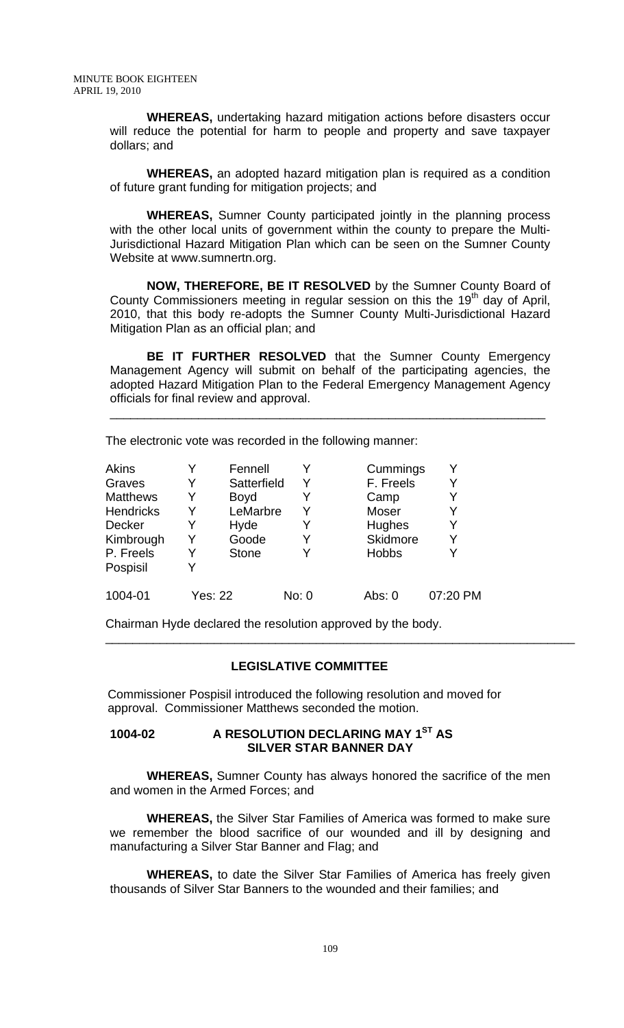**WHEREAS,** undertaking hazard mitigation actions before disasters occur will reduce the potential for harm to people and property and save taxpayer dollars; and

**WHEREAS,** an adopted hazard mitigation plan is required as a condition of future grant funding for mitigation projects; and

**WHEREAS,** Sumner County participated jointly in the planning process with the other local units of government within the county to prepare the Multi-Jurisdictional Hazard Mitigation Plan which can be seen on the Sumner County Website at www.sumnertn.org.

**NOW, THEREFORE, BE IT RESOLVED** by the Sumner County Board of County Commissioners meeting in regular session on this the 19<sup>th</sup> day of April, 2010, that this body re-adopts the Sumner County Multi-Jurisdictional Hazard Mitigation Plan as an official plan; and

**BE IT FURTHER RESOLVED** that the Sumner County Emergency Management Agency will submit on behalf of the participating agencies, the adopted Hazard Mitigation Plan to the Federal Emergency Management Agency officials for final review and approval.

\_\_\_\_\_\_\_\_\_\_\_\_\_\_\_\_\_\_\_\_\_\_\_\_\_\_\_\_\_\_\_\_\_\_\_\_\_\_\_\_\_\_\_\_\_\_\_\_\_\_\_\_\_\_\_\_\_\_\_\_\_\_\_\_

The electronic vote was recorded in the following manner:

| Akins            |         | Fennell      |       | Cummings     |          |
|------------------|---------|--------------|-------|--------------|----------|
| Graves           | Y       | Satterfield  | Y     | F. Freels    | Y        |
| <b>Matthews</b>  | Y       | <b>Boyd</b>  |       | Camp         |          |
| <b>Hendricks</b> | Y       | LeMarbre     | Y     | Moser        | Y        |
| <b>Decker</b>    |         | Hyde         | Y     | Hughes       | Y        |
| Kimbrough        |         | Goode        | Y     | Skidmore     | Y        |
| P. Freels        | Y       | <b>Stone</b> |       | <b>Hobbs</b> |          |
| Pospisil         |         |              |       |              |          |
| 1004-01          | Yes: 22 |              | No: 0 | Abs: $0$     | 07:20 PM |

Chairman Hyde declared the resolution approved by the body.

### **LEGISLATIVE COMMITTEE**

\_\_\_\_\_\_\_\_\_\_\_\_\_\_\_\_\_\_\_\_\_\_\_\_\_\_\_\_\_\_\_\_\_\_\_\_\_\_\_\_\_\_\_\_\_\_\_\_\_\_\_\_\_\_\_\_\_\_\_\_\_\_\_\_\_\_\_\_\_

 Commissioner Pospisil introduced the following resolution and moved for approval. Commissioner Matthews seconded the motion.

## **1004-02 A RESOLUTION DECLARING MAY 1ST AS SILVER STAR BANNER DAY**

 **WHEREAS,** Sumner County has always honored the sacrifice of the men and women in the Armed Forces; and

 **WHEREAS,** the Silver Star Families of America was formed to make sure we remember the blood sacrifice of our wounded and ill by designing and manufacturing a Silver Star Banner and Flag; and

 **WHEREAS,** to date the Silver Star Families of America has freely given thousands of Silver Star Banners to the wounded and their families; and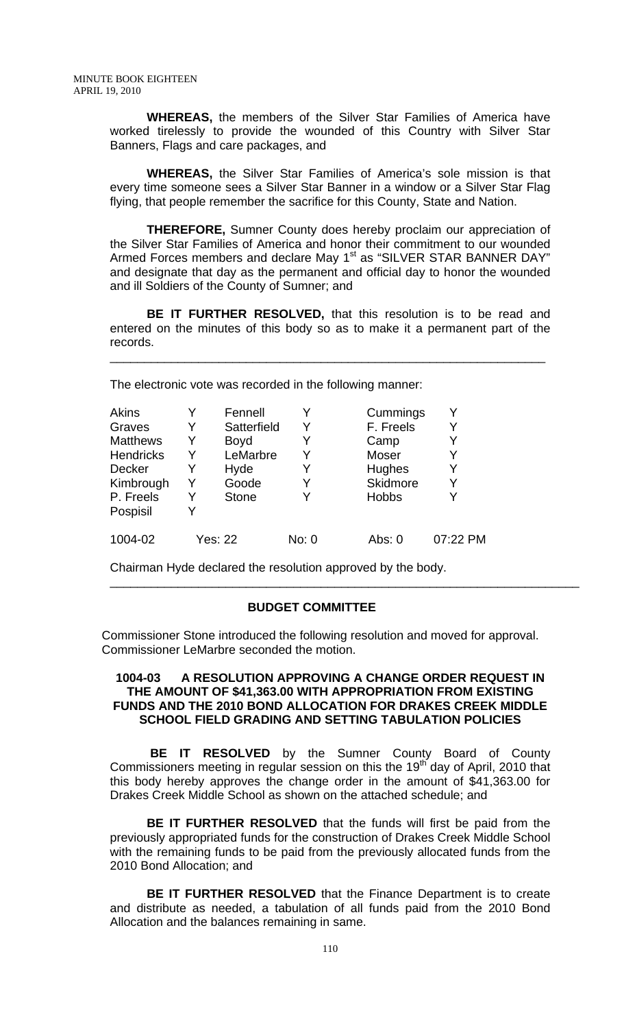**WHEREAS,** the members of the Silver Star Families of America have worked tirelessly to provide the wounded of this Country with Silver Star Banners, Flags and care packages, and

**WHEREAS,** the Silver Star Families of America's sole mission is that every time someone sees a Silver Star Banner in a window or a Silver Star Flag flying, that people remember the sacrifice for this County, State and Nation.

**THEREFORE,** Sumner County does hereby proclaim our appreciation of the Silver Star Families of America and honor their commitment to our wounded Armed Forces members and declare May 1<sup>st</sup> as "SILVER STAR BANNER DAY" and designate that day as the permanent and official day to honor the wounded and ill Soldiers of the County of Sumner; and

**BE IT FURTHER RESOLVED,** that this resolution is to be read and entered on the minutes of this body so as to make it a permanent part of the records.

\_\_\_\_\_\_\_\_\_\_\_\_\_\_\_\_\_\_\_\_\_\_\_\_\_\_\_\_\_\_\_\_\_\_\_\_\_\_\_\_\_\_\_\_\_\_\_\_\_\_\_\_\_\_\_\_\_\_\_\_\_\_\_\_

The electronic vote was recorded in the following manner:

| <b>Akins</b>     | Y | Fennell      |       | Cummings     |          |
|------------------|---|--------------|-------|--------------|----------|
| Graves           | Y | Satterfield  | Y     | F. Freels    |          |
| <b>Matthews</b>  | Y | <b>Boyd</b>  | Y     | Camp         | Y        |
| <b>Hendricks</b> | Y | LeMarbre     | Y     | Moser        |          |
| Decker           | Y | Hyde         | Y     | Hughes       |          |
| Kimbrough        | Y | Goode        | Y     | Skidmore     |          |
| P. Freels        | Y | <b>Stone</b> | Y     | <b>Hobbs</b> |          |
| Pospisil         | Y |              |       |              |          |
| 1004-02          |   | Yes: 22      | No: 0 | Abs: 0       | 07:22 PM |

Chairman Hyde declared the resolution approved by the body.

### **BUDGET COMMITTEE**

 Commissioner Stone introduced the following resolution and moved for approval. Commissioner LeMarbre seconded the motion.

\_\_\_\_\_\_\_\_\_\_\_\_\_\_\_\_\_\_\_\_\_\_\_\_\_\_\_\_\_\_\_\_\_\_\_\_\_\_\_\_\_\_\_\_\_\_\_\_\_\_\_\_\_\_\_\_\_\_\_\_\_\_\_\_\_\_\_\_\_

### **1004-03 A RESOLUTION APPROVING A CHANGE ORDER REQUEST IN THE AMOUNT OF \$41,363.00 WITH APPROPRIATION FROM EXISTING FUNDS AND THE 2010 BOND ALLOCATION FOR DRAKES CREEK MIDDLE SCHOOL FIELD GRADING AND SETTING TABULATION POLICIES**

 **BE IT RESOLVED** by the Sumner County Board of County Commissioners meeting in regular session on this the 19<sup>th</sup> day of April, 2010 that this body hereby approves the change order in the amount of \$41,363.00 for Drakes Creek Middle School as shown on the attached schedule; and

**BE IT FURTHER RESOLVED** that the funds will first be paid from the previously appropriated funds for the construction of Drakes Creek Middle School with the remaining funds to be paid from the previously allocated funds from the 2010 Bond Allocation; and

**BE IT FURTHER RESOLVED** that the Finance Department is to create and distribute as needed, a tabulation of all funds paid from the 2010 Bond Allocation and the balances remaining in same.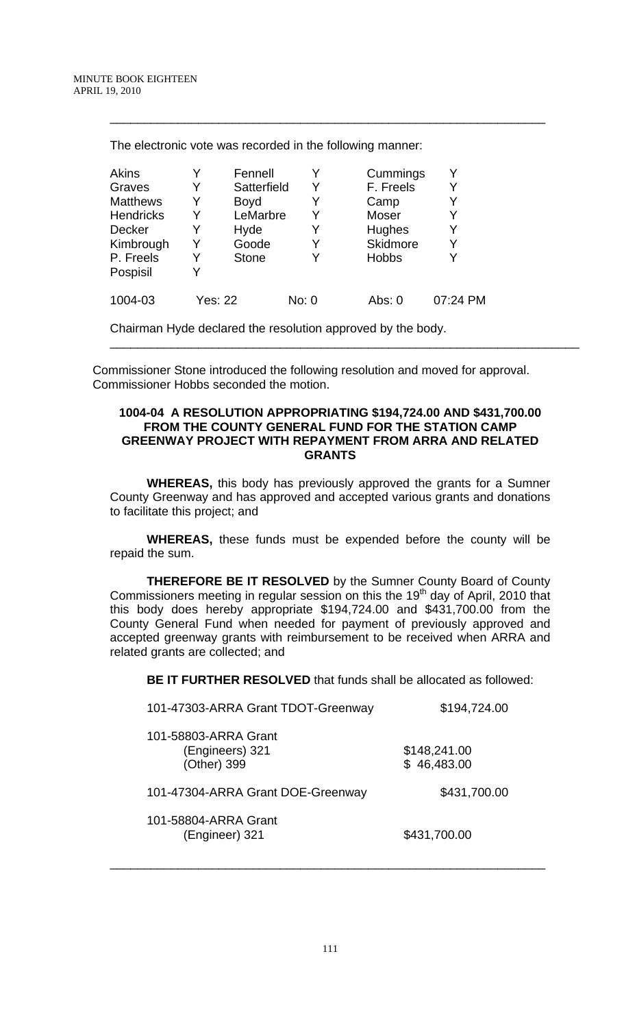| Akins            | Y              | Fennell     | Y     | Cummings        | Y        |
|------------------|----------------|-------------|-------|-----------------|----------|
| Graves           |                | Satterfield | Y     | F. Freels       |          |
| <b>Matthews</b>  |                | Boyd        | Y     | Camp            |          |
| <b>Hendricks</b> |                | LeMarbre    | Y     | <b>Moser</b>    |          |
| <b>Decker</b>    |                | Hyde        | Y     | Hughes          |          |
| Kimbrough        |                | Goode       | Y     | <b>Skidmore</b> |          |
| P. Freels        |                | Stone       | Y     | <b>Hobbs</b>    |          |
| Pospisil         |                |             |       |                 |          |
| 1004-03          | <b>Yes: 22</b> |             | No: 0 | Abs: 0          | 07:24 PM |
|                  |                |             |       |                 |          |

\_\_\_\_\_\_\_\_\_\_\_\_\_\_\_\_\_\_\_\_\_\_\_\_\_\_\_\_\_\_\_\_\_\_\_\_\_\_\_\_\_\_\_\_\_\_\_\_\_\_\_\_\_\_\_\_\_\_\_\_\_\_\_\_

The electronic vote was recorded in the following manner:

Chairman Hyde declared the resolution approved by the body.

 Commissioner Stone introduced the following resolution and moved for approval. Commissioner Hobbs seconded the motion.

### **1004-04 A RESOLUTION APPROPRIATING \$194,724.00 AND \$431,700.00 FROM THE COUNTY GENERAL FUND FOR THE STATION CAMP GREENWAY PROJECT WITH REPAYMENT FROM ARRA AND RELATED GRANTS**

\_\_\_\_\_\_\_\_\_\_\_\_\_\_\_\_\_\_\_\_\_\_\_\_\_\_\_\_\_\_\_\_\_\_\_\_\_\_\_\_\_\_\_\_\_\_\_\_\_\_\_\_\_\_\_\_\_\_\_\_\_\_\_\_\_\_\_\_\_

**WHEREAS,** this body has previously approved the grants for a Sumner County Greenway and has approved and accepted various grants and donations to facilitate this project; and

**WHEREAS,** these funds must be expended before the county will be repaid the sum.

**THEREFORE BE IT RESOLVED** by the Sumner County Board of County Commissioners meeting in regular session on this the 19<sup>th</sup> day of April, 2010 that this body does hereby appropriate \$194,724.00 and \$431,700.00 from the County General Fund when needed for payment of previously approved and accepted greenway grants with reimbursement to be received when ARRA and related grants are collected; and

**BE IT FURTHER RESOLVED** that funds shall be allocated as followed:

| 101-47303-ARRA Grant TDOT-Greenway                     | \$194,724.00                |
|--------------------------------------------------------|-----------------------------|
| 101-58803-ARRA Grant<br>(Engineers) 321<br>(Other) 399 | \$148,241.00<br>\$46,483.00 |
| 101-47304-ARRA Grant DOE-Greenway                      | \$431,700.00                |
| 101-58804-ARRA Grant<br>(Engineer) 321                 | \$431,700.00                |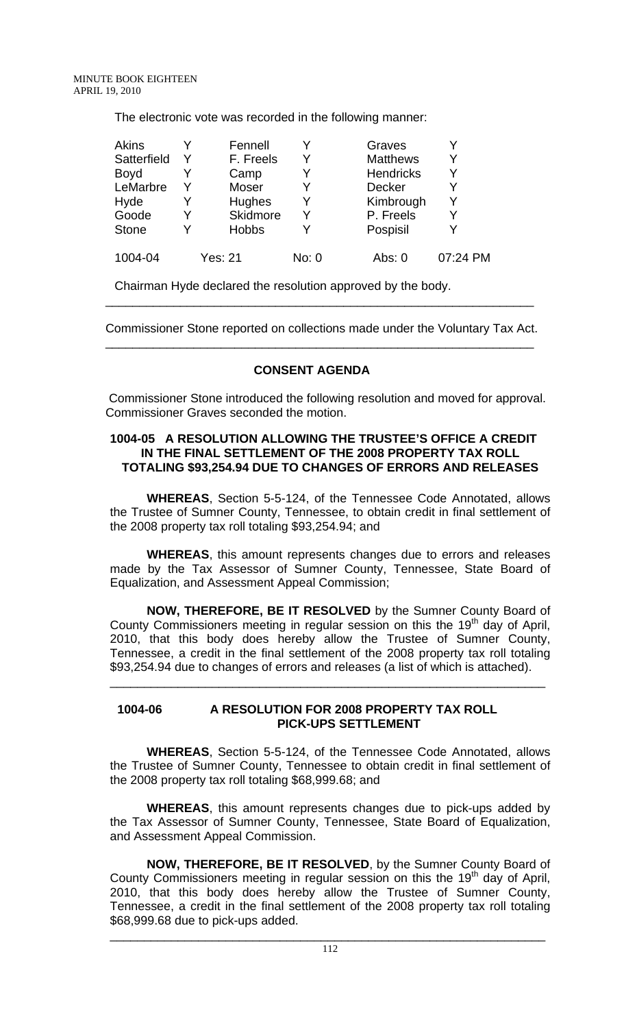The electronic vote was recorded in the following manner:

| <b>Akins</b> | Fennell        |       | Graves           |          |
|--------------|----------------|-------|------------------|----------|
| Satterfield  | F. Freels      |       | <b>Matthews</b>  |          |
| <b>Boyd</b>  | Camp           | Y     | <b>Hendricks</b> |          |
| LeMarbre     | Moser          | Y     | <b>Decker</b>    |          |
| Hyde         | Hughes         |       | Kimbrough        |          |
| Goode        | Skidmore       | v     | P. Freels        |          |
| <b>Stone</b> | <b>Hobbs</b>   |       | Pospisil         |          |
| 1004-04      | <b>Yes: 21</b> | No: 0 | Abs: $0$         | 07:24 PM |

Chairman Hyde declared the resolution approved by the body.

Commissioner Stone reported on collections made under the Voluntary Tax Act. \_\_\_\_\_\_\_\_\_\_\_\_\_\_\_\_\_\_\_\_\_\_\_\_\_\_\_\_\_\_\_\_\_\_\_\_\_\_\_\_\_\_\_\_\_\_\_\_\_\_\_\_\_\_\_\_\_\_\_\_\_\_\_

\_\_\_\_\_\_\_\_\_\_\_\_\_\_\_\_\_\_\_\_\_\_\_\_\_\_\_\_\_\_\_\_\_\_\_\_\_\_\_\_\_\_\_\_\_\_\_\_\_\_\_\_\_\_\_\_\_\_\_\_\_\_\_

# **CONSENT AGENDA**

 Commissioner Stone introduced the following resolution and moved for approval. Commissioner Graves seconded the motion.

## **1004-05 A RESOLUTION ALLOWING THE TRUSTEE'S OFFICE A CREDIT IN THE FINAL SETTLEMENT OF THE 2008 PROPERTY TAX ROLL TOTALING \$93,254.94 DUE TO CHANGES OF ERRORS AND RELEASES**

 **WHEREAS**, Section 5-5-124, of the Tennessee Code Annotated, allows the Trustee of Sumner County, Tennessee, to obtain credit in final settlement of the 2008 property tax roll totaling \$93,254.94; and

**WHEREAS**, this amount represents changes due to errors and releases made by the Tax Assessor of Sumner County, Tennessee, State Board of Equalization, and Assessment Appeal Commission;

**NOW, THEREFORE, BE IT RESOLVED** by the Sumner County Board of County Commissioners meeting in regular session on this the  $19<sup>th</sup>$  day of April, 2010, that this body does hereby allow the Trustee of Sumner County, Tennessee, a credit in the final settlement of the 2008 property tax roll totaling \$93,254.94 due to changes of errors and releases (a list of which is attached).

\_\_\_\_\_\_\_\_\_\_\_\_\_\_\_\_\_\_\_\_\_\_\_\_\_\_\_\_\_\_\_\_\_\_\_\_\_\_\_\_\_\_\_\_\_\_\_\_\_\_\_\_\_\_\_\_\_\_\_\_\_\_\_\_

## **1004-06 A RESOLUTION FOR 2008 PROPERTY TAX ROLL PICK-UPS SETTLEMENT**

 **WHEREAS**, Section 5-5-124, of the Tennessee Code Annotated, allows the Trustee of Sumner County, Tennessee to obtain credit in final settlement of the 2008 property tax roll totaling \$68,999.68; and

**WHEREAS**, this amount represents changes due to pick-ups added by the Tax Assessor of Sumner County, Tennessee, State Board of Equalization, and Assessment Appeal Commission.

**NOW, THEREFORE, BE IT RESOLVED**, by the Sumner County Board of County Commissioners meeting in regular session on this the 19<sup>th</sup> day of April, 2010, that this body does hereby allow the Trustee of Sumner County, Tennessee, a credit in the final settlement of the 2008 property tax roll totaling \$68,999.68 due to pick-ups added.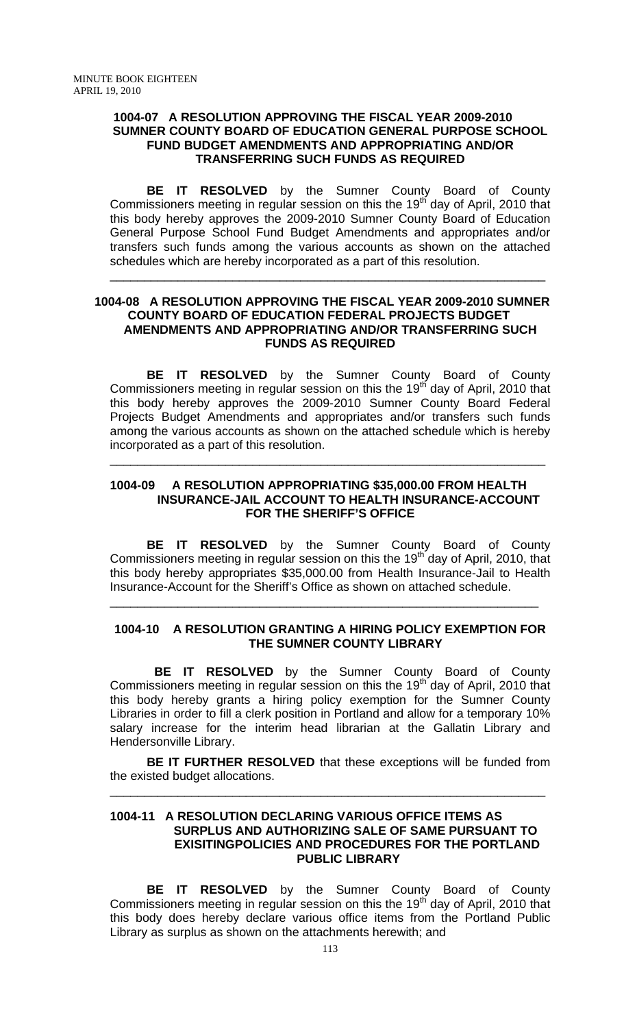### **1004-07 A RESOLUTION APPROVING THE FISCAL YEAR 2009-2010 SUMNER COUNTY BOARD OF EDUCATION GENERAL PURPOSE SCHOOL FUND BUDGET AMENDMENTS AND APPROPRIATING AND/OR TRANSFERRING SUCH FUNDS AS REQUIRED**

 **BE IT RESOLVED** by the Sumner County Board of County Commissioners meeting in regular session on this the 19<sup>th</sup> day of April, 2010 that this body hereby approves the 2009-2010 Sumner County Board of Education General Purpose School Fund Budget Amendments and appropriates and/or transfers such funds among the various accounts as shown on the attached schedules which are hereby incorporated as a part of this resolution.

\_\_\_\_\_\_\_\_\_\_\_\_\_\_\_\_\_\_\_\_\_\_\_\_\_\_\_\_\_\_\_\_\_\_\_\_\_\_\_\_\_\_\_\_\_\_\_\_\_\_\_\_\_\_\_\_\_\_\_\_\_\_\_\_

### **1004-08 A RESOLUTION APPROVING THE FISCAL YEAR 2009-2010 SUMNER COUNTY BOARD OF EDUCATION FEDERAL PROJECTS BUDGET AMENDMENTS AND APPROPRIATING AND/OR TRANSFERRING SUCH FUNDS AS REQUIRED**

 **BE IT RESOLVED** by the Sumner County Board of County Commissioners meeting in regular session on this the 19<sup>th</sup> day of April, 2010 that this body hereby approves the 2009-2010 Sumner County Board Federal Projects Budget Amendments and appropriates and/or transfers such funds among the various accounts as shown on the attached schedule which is hereby incorporated as a part of this resolution.

## **1004-09 A RESOLUTION APPROPRIATING \$35,000.00 FROM HEALTH INSURANCE-JAIL ACCOUNT TO HEALTH INSURANCE-ACCOUNT FOR THE SHERIFF'S OFFICE**

\_\_\_\_\_\_\_\_\_\_\_\_\_\_\_\_\_\_\_\_\_\_\_\_\_\_\_\_\_\_\_\_\_\_\_\_\_\_\_\_\_\_\_\_\_\_\_\_\_\_\_\_\_\_\_\_\_\_\_\_\_\_\_\_

**BE IT RESOLVED** by the Sumner County Board of County Commissioners meeting in regular session on this the 19<sup>th</sup> day of April, 2010, that this body hereby appropriates \$35,000.00 from Health Insurance-Jail to Health Insurance-Account for the Sheriff's Office as shown on attached schedule.

## **1004-10 A RESOLUTION GRANTING A HIRING POLICY EXEMPTION FOR THE SUMNER COUNTY LIBRARY**

\_\_\_\_\_\_\_\_\_\_\_\_\_\_\_\_\_\_\_\_\_\_\_\_\_\_\_\_\_\_\_\_\_\_\_\_\_\_\_\_\_\_\_\_\_\_\_\_\_\_\_\_\_\_\_\_\_\_\_\_\_\_\_

 **BE IT RESOLVED** by the Sumner County Board of County Commissioners meeting in regular session on this the  $19<sup>th</sup>$  day of April, 2010 that this body hereby grants a hiring policy exemption for the Sumner County Libraries in order to fill a clerk position in Portland and allow for a temporary 10% salary increase for the interim head librarian at the Gallatin Library and Hendersonville Library.

**BE IT FURTHER RESOLVED** that these exceptions will be funded from the existed budget allocations.

\_\_\_\_\_\_\_\_\_\_\_\_\_\_\_\_\_\_\_\_\_\_\_\_\_\_\_\_\_\_\_\_\_\_\_\_\_\_\_\_\_\_\_\_\_\_\_\_\_\_\_\_\_\_\_\_\_\_\_\_\_\_\_\_

### **1004-11 A RESOLUTION DECLARING VARIOUS OFFICE ITEMS AS SURPLUS AND AUTHORIZING SALE OF SAME PURSUANT TO EXISITINGPOLICIES AND PROCEDURES FOR THE PORTLAND PUBLIC LIBRARY**

 **BE IT RESOLVED** by the Sumner County Board of County Commissioners meeting in regular session on this the 19<sup>th</sup> day of April, 2010 that this body does hereby declare various office items from the Portland Public Library as surplus as shown on the attachments herewith; and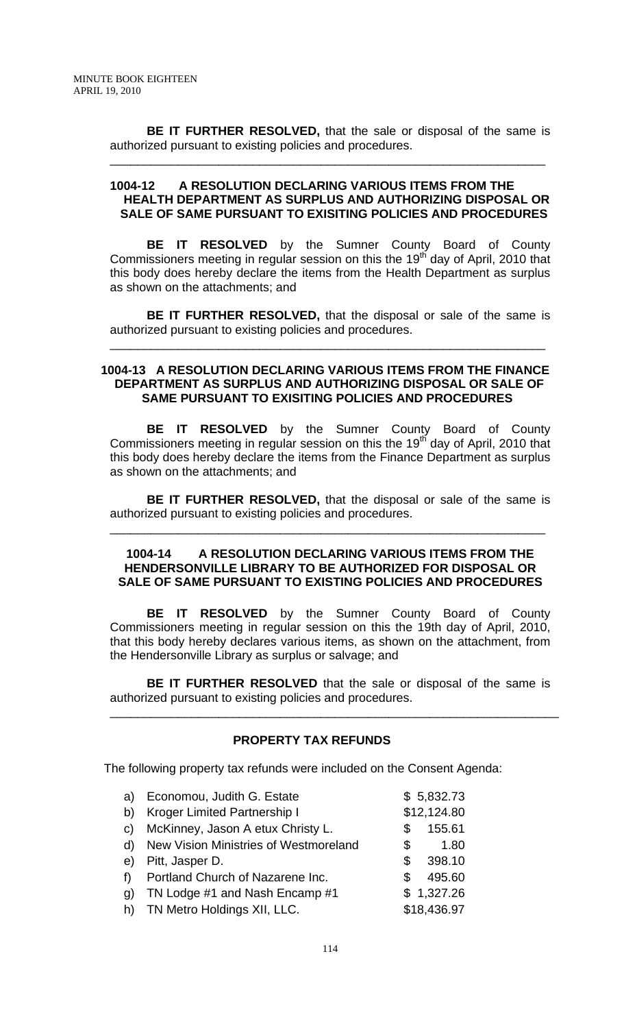**BE IT FURTHER RESOLVED,** that the sale or disposal of the same is authorized pursuant to existing policies and procedures.

\_\_\_\_\_\_\_\_\_\_\_\_\_\_\_\_\_\_\_\_\_\_\_\_\_\_\_\_\_\_\_\_\_\_\_\_\_\_\_\_\_\_\_\_\_\_\_\_\_\_\_\_\_\_\_\_\_\_\_\_\_\_\_\_

### **1004-12 A RESOLUTION DECLARING VARIOUS ITEMS FROM THE HEALTH DEPARTMENT AS SURPLUS AND AUTHORIZING DISPOSAL OR SALE OF SAME PURSUANT TO EXISITING POLICIES AND PROCEDURES**

 **BE IT RESOLVED** by the Sumner County Board of County Commissioners meeting in regular session on this the 19<sup>th</sup> day of April, 2010 that this body does hereby declare the items from the Health Department as surplus as shown on the attachments; and

**BE IT FURTHER RESOLVED,** that the disposal or sale of the same is authorized pursuant to existing policies and procedures.

\_\_\_\_\_\_\_\_\_\_\_\_\_\_\_\_\_\_\_\_\_\_\_\_\_\_\_\_\_\_\_\_\_\_\_\_\_\_\_\_\_\_\_\_\_\_\_\_\_\_\_\_\_\_\_\_\_\_\_\_\_\_\_\_

### **1004-13 A RESOLUTION DECLARING VARIOUS ITEMS FROM THE FINANCE DEPARTMENT AS SURPLUS AND AUTHORIZING DISPOSAL OR SALE OF SAME PURSUANT TO EXISITING POLICIES AND PROCEDURES**

 **BE IT RESOLVED** by the Sumner County Board of County Commissioners meeting in regular session on this the 19<sup>th</sup> day of April, 2010 that this body does hereby declare the items from the Finance Department as surplus as shown on the attachments; and

**BE IT FURTHER RESOLVED,** that the disposal or sale of the same is authorized pursuant to existing policies and procedures.

\_\_\_\_\_\_\_\_\_\_\_\_\_\_\_\_\_\_\_\_\_\_\_\_\_\_\_\_\_\_\_\_\_\_\_\_\_\_\_\_\_\_\_\_\_\_\_\_\_\_\_\_\_\_\_\_\_\_\_\_\_\_\_\_

### **1004-14 A RESOLUTION DECLARING VARIOUS ITEMS FROM THE HENDERSONVILLE LIBRARY TO BE AUTHORIZED FOR DISPOSAL OR SALE OF SAME PURSUANT TO EXISTING POLICIES AND PROCEDURES**

 **BE IT RESOLVED** by the Sumner County Board of County Commissioners meeting in regular session on this the 19th day of April, 2010, that this body hereby declares various items, as shown on the attachment, from the Hendersonville Library as surplus or salvage; and

**BE IT FURTHER RESOLVED** that the sale or disposal of the same is authorized pursuant to existing policies and procedures.

\_\_\_\_\_\_\_\_\_\_\_\_\_\_\_\_\_\_\_\_\_\_\_\_\_\_\_\_\_\_\_\_\_\_\_\_\_\_\_\_\_\_\_\_\_\_\_\_\_\_\_\_\_\_\_\_\_\_\_\_\_\_\_\_\_\_

# **PROPERTY TAX REFUNDS**

The following property tax refunds were included on the Consent Agenda:

| a)           | Economou, Judith G. Estate            |    | \$5,832.73  |
|--------------|---------------------------------------|----|-------------|
| b)           | Kroger Limited Partnership I          |    | \$12,124.80 |
| $\mathbf{C}$ | McKinney, Jason A etux Christy L.     | \$ | 155.61      |
| d)           | New Vision Ministries of Westmoreland | \$ | 1.80        |
| e)           | Pitt, Jasper D.                       | S  | 398.10      |
| f            | Portland Church of Nazarene Inc.      | \$ | 495.60      |
| g)           | TN Lodge #1 and Nash Encamp #1        |    | \$1,327.26  |
|              | h) TN Metro Holdings XII, LLC.        |    | \$18,436.97 |